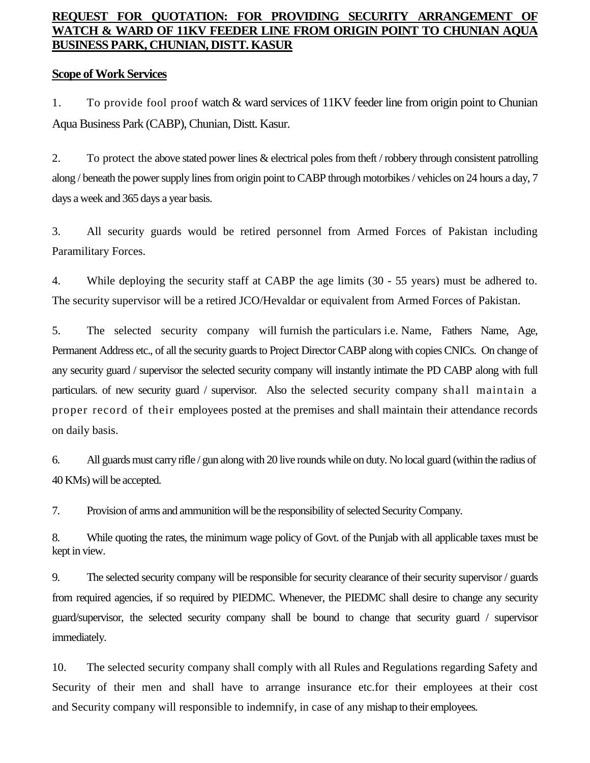# **REQUEST FOR QUOTATION: FOR PROVIDING SECURITY ARRANGEMENT OF WATCH & WARD OF 11KV FEEDER LINE FROM ORIGIN POINT TO CHUNIAN AQUA BUSINESS PARK, CHUNIAN, DISTT. KASUR**

# **Scope of Work Services**

1. To provide fool proof watch & ward services of 11KV feeder line from origin point to Chunian Aqua Business Park (CABP), Chunian, Distt. Kasur.

2. To protect the above stated power lines & electrical poles from theft / robbery through consistent patrolling along / beneath the power supply lines from origin point to CABP through motorbikes / vehicles on 24 hours a day, 7 days a week and 365 days a year basis.

3. All security guards would be retired personnel from Armed Forces of Pakistan including Paramilitary Forces.

4. While deploying the security staff at CABP the age limits (30 - 55 years) must be adhered to. The security supervisor will be a retired JCO/Hevaldar or equivalent from Armed Forces of Pakistan.

5. The selected security company will furnish the particulars i.e. Name, Fathers Name, Age, Permanent Address etc., of all the security guards to Project Director CABP along with copies CNICs. On change of any security guard / supervisor the selected security company will instantly intimate the PD CABP along with full particulars. of new security guard / supervisor. Also the selected security company shall maintain a proper record of their employees posted at the premises and shall maintain their attendance records on daily basis.

6. All guards must carry rifle / gun along with 20 live rounds while on duty. No local guard (within the radius of 40 KMs) will be accepted.

7. Provision of arms and ammunition will be the responsibility of selected Security Company.

8. While quoting the rates, the minimum wage policy of Govt. of the Punjab with all applicable taxes must be kept in view.

9. The selected security company will be responsible for security clearance of their security supervisor / guards from required agencies, if so required by PIEDMC. Whenever, the PIEDMC shall desire to change any security guard/supervisor, the selected security company shall be bound to change that security guard / supervisor immediately.

10. The selected security company shall comply with all Rules and Regulations regarding Safety and Security of their men and shall have to arrange insurance etc.for their employees at their cost and Security company will responsible to indemnify, in case of any mishap to their employees.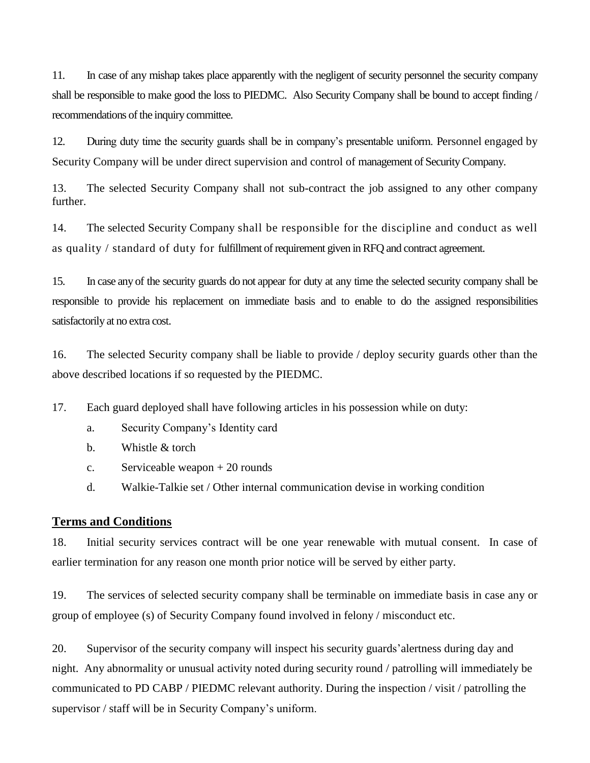11. In case of any mishap takes place apparently with the negligent of security personnel the security company shall be responsible to make good the loss to PIEDMC. Also Security Company shall be bound to accept finding / recommendations of the inquiry committee.

12. During duty time the security guards shall be in company's presentable uniform. Personnel engaged by Security Company will be under direct supervision and control of management of Security Company.

13. The selected Security Company shall not sub-contract the job assigned to any other company further.

14. The selected Security Company shall be responsible for the discipline and conduct as well as quality / standard of duty for fulfillment of requirement given in RFQ and contract agreement.

15. In case any of the security guards do not appear for duty at any time the selected security company shall be responsible to provide his replacement on immediate basis and to enable to do the assigned responsibilities satisfactorily at no extra cost.

16. The selected Security company shall be liable to provide / deploy security guards other than the above described locations if so requested by the PIEDMC.

17. Each guard deployed shall have following articles in his possession while on duty:

- a. Security Company's Identity card
- b. Whistle & torch
- c. Serviceable weapon + 20 rounds
- d. Walkie-Talkie set / Other internal communication devise in working condition

### **Terms and Conditions**

18. Initial security services contract will be one year renewable with mutual consent. In case of earlier termination for any reason one month prior notice will be served by either party.

19. The services of selected security company shall be terminable on immediate basis in case any or group of employee (s) of Security Company found involved in felony / misconduct etc.

20. Supervisor of the security company will inspect his security guards'alertness during day and night. Any abnormality or unusual activity noted during security round / patrolling will immediately be communicated to PD CABP / PIEDMC relevant authority. During the inspection / visit / patrolling the supervisor / staff will be in Security Company's uniform.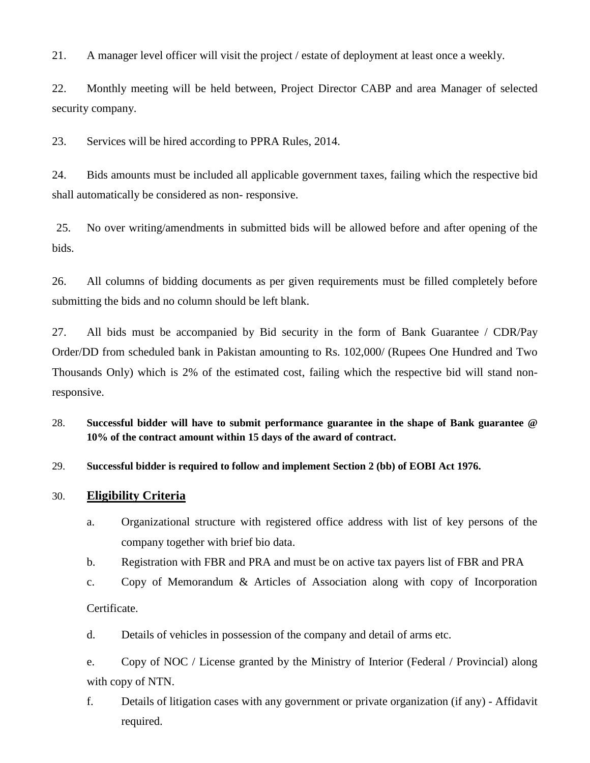21. A manager level officer will visit the project / estate of deployment at least once a weekly.

22. Monthly meeting will be held between, Project Director CABP and area Manager of selected security company.

23. Services will be hired according to PPRA Rules, 2014.

24. Bids amounts must be included all applicable government taxes, failing which the respective bid shall automatically be considered as non- responsive.

25. No over writing/amendments in submitted bids will be allowed before and after opening of the bids.

26. All columns of bidding documents as per given requirements must be filled completely before submitting the bids and no column should be left blank.

27. All bids must be accompanied by Bid security in the form of Bank Guarantee / CDR/Pay Order/DD from scheduled bank in Pakistan amounting to Rs. 102,000/ (Rupees One Hundred and Two Thousands Only) which is 2% of the estimated cost, failing which the respective bid will stand nonresponsive.

# 28. **Successful bidder will have to submit performance guarantee in the shape of Bank guarantee @ 10% of the contract amount within 15 days of the award of contract.**

29. **Successful bidder is required to follow and implement Section 2 (bb) of EOBI Act 1976.**

#### 30. **Eligibility Criteria**

- a. Organizational structure with registered office address with list of key persons of the company together with brief bio data.
- b. Registration with FBR and PRA and must be on active tax payers list of FBR and PRA

c. Copy of Memorandum & Articles of Association along with copy of Incorporation

Certificate.

d. Details of vehicles in possession of the company and detail of arms etc.

e. Copy of NOC / License granted by the Ministry of Interior (Federal / Provincial) along with copy of NTN.

f. Details of litigation cases with any government or private organization (if any) - Affidavit required.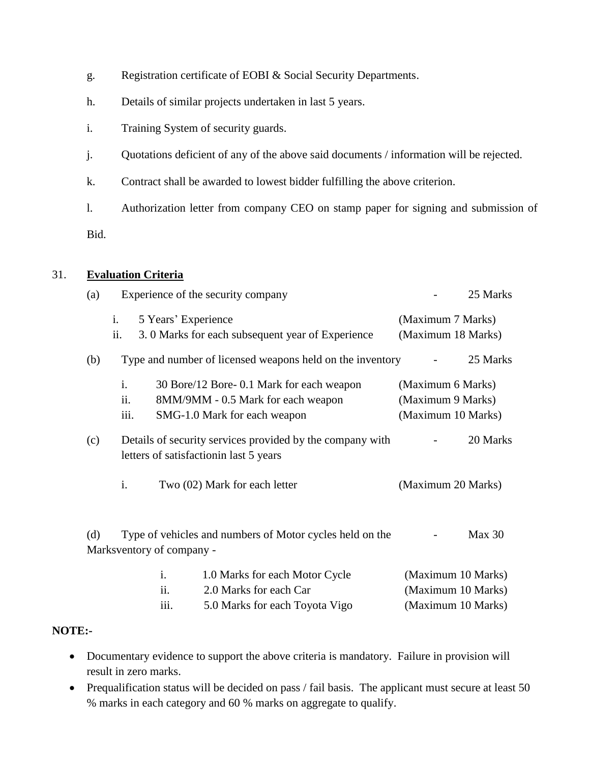- g. Registration certificate of EOBI & Social Security Departments.
- h. Details of similar projects undertaken in last 5 years.
- i. Training System of security guards.
- j. Quotations deficient of any of the above said documents / information will be rejected.
- k. Contract shall be awarded to lowest bidder fulfilling the above criterion.
- l. Authorization letter from company CEO on stamp paper for signing and submission of Bid.

# 31. **Evaluation Criteria**

| (a) |                               | Experience of the security company |                                                                                                                 | 25 Marks                                                     |                                                                |
|-----|-------------------------------|------------------------------------|-----------------------------------------------------------------------------------------------------------------|--------------------------------------------------------------|----------------------------------------------------------------|
|     | $\mathbf{i}$ .<br>ii.         |                                    | 5 Years' Experience<br>3. 0 Marks for each subsequent year of Experience                                        | (Maximum 7 Marks)<br>(Maximum 18 Marks)                      |                                                                |
| (b) |                               |                                    | Type and number of licensed weapons held on the inventory                                                       |                                                              | 25 Marks                                                       |
|     | $\mathbf{i}$ .<br>ii.<br>iii. |                                    | 30 Bore/12 Bore- 0.1 Mark for each weapon<br>8MM/9MM - 0.5 Mark for each weapon<br>SMG-1.0 Mark for each weapon | (Maximum 6 Marks)<br>(Maximum 9 Marks)<br>(Maximum 10 Marks) |                                                                |
| (c) |                               |                                    | Details of security services provided by the company with<br>letters of satisfaction in last 5 years            |                                                              | 20 Marks                                                       |
|     | i.                            | Two (02) Mark for each letter      |                                                                                                                 | (Maximum 20 Marks)                                           |                                                                |
| (d) |                               | Marksventory of company -          | Type of vehicles and numbers of Motor cycles held on the                                                        |                                                              | Max 30                                                         |
|     |                               | $\mathbf{i}$ .<br>ii.<br>iii.      | 1.0 Marks for each Motor Cycle<br>2.0 Marks for each Car<br>5.0 Marks for each Toyota Vigo                      |                                                              | (Maximum 10 Marks)<br>(Maximum 10 Marks)<br>(Maximum 10 Marks) |

# **NOTE:-**

- Documentary evidence to support the above criteria is mandatory. Failure in provision will result in zero marks.
- Prequalification status will be decided on pass / fail basis. The applicant must secure at least 50 % marks in each category and 60 % marks on aggregate to qualify.